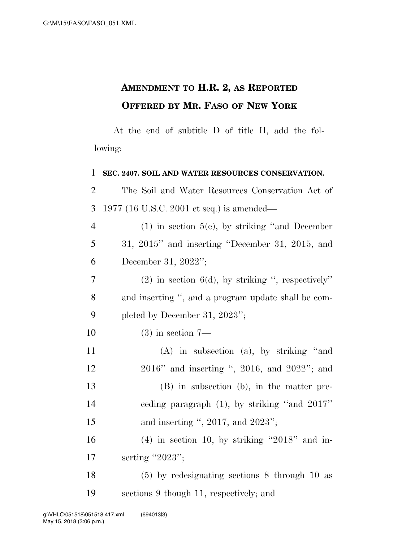## **AMENDMENT TO H.R. 2, AS REPORTED OFFERED BY MR. FASO OF NEW YORK**

At the end of subtitle D of title II, add the following:

| $\mathbf{1}$   | SEC. 2407. SOIL AND WATER RESOURCES CONSERVATION.   |
|----------------|-----------------------------------------------------|
| $\overline{2}$ | The Soil and Water Resources Conservation Act of    |
| 3              | 1977 (16 U.S.C. 2001 et seq.) is amended—           |
| $\overline{4}$ | $(1)$ in section 5(e), by striking "and December"   |
| 5              | $31, 2015$ " and inserting "December 31, 2015, and  |
| 6              | December 31, 2022";                                 |
| 7              | $(2)$ in section 6(d), by striking ", respectively" |
| 8              | and inserting ", and a program update shall be com- |
| 9              | pleted by December 31, 2023";                       |
| 10             | $(3)$ in section $7-$                               |
| 11             | $(A)$ in subsection $(a)$ , by striking "and        |
| 12             | 2016" and inserting ", 2016, and 2022"; and         |
| 13             | (B) in subsection (b), in the matter pre-           |
| 14             | ceding paragraph $(1)$ , by striking "and $2017$ "  |
| 15             | and inserting ", $2017$ , and $2023$ ";             |
| 16             | $(4)$ in section 10, by striking "2018" and in-     |
| 17             | serting "2023";                                     |
| 18             | $(5)$ by redesignating sections 8 through 10 as     |
| 19             | sections 9 though 11, respectively; and             |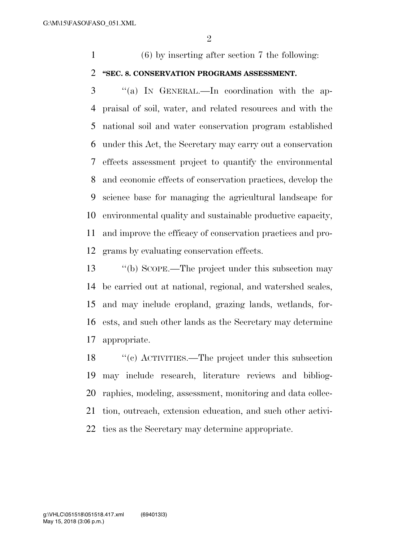(6) by inserting after section 7 the following:

## **''SEC. 8. CONSERVATION PROGRAMS ASSESSMENT.**

 ''(a) IN GENERAL.—In coordination with the ap- praisal of soil, water, and related resources and with the national soil and water conservation program established under this Act, the Secretary may carry out a conservation effects assessment project to quantify the environmental and economic effects of conservation practices, develop the science base for managing the agricultural landscape for environmental quality and sustainable productive capacity, and improve the efficacy of conservation practices and pro-grams by evaluating conservation effects.

 ''(b) SCOPE.—The project under this subsection may be carried out at national, regional, and watershed scales, and may include cropland, grazing lands, wetlands, for- ests, and such other lands as the Secretary may determine appropriate.

 ''(c) ACTIVITIES.—The project under this subsection may include research, literature reviews and bibliog- raphies, modeling, assessment, monitoring and data collec- tion, outreach, extension education, and such other activi-ties as the Secretary may determine appropriate.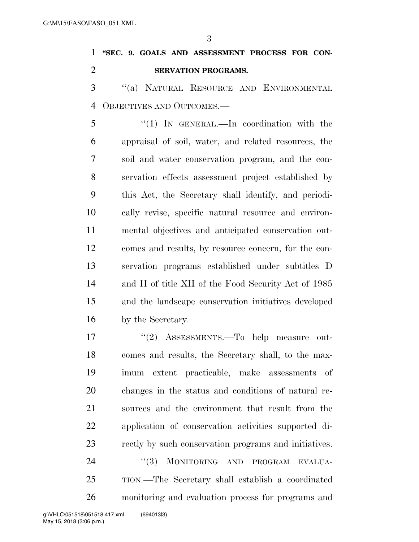## **''SEC. 9. GOALS AND ASSESSMENT PROCESS FOR CON-SERVATION PROGRAMS.**

 ''(a) NATURAL RESOURCE AND ENVIRONMENTAL OBJECTIVES AND OUTCOMES.—

 ''(1) IN GENERAL.—In coordination with the appraisal of soil, water, and related resources, the soil and water conservation program, and the con- servation effects assessment project established by this Act, the Secretary shall identify, and periodi- cally revise, specific natural resource and environ- mental objectives and anticipated conservation out- comes and results, by resource concern, for the con- servation programs established under subtitles D and H of title XII of the Food Security Act of 1985 and the landscape conservation initiatives developed by the Secretary.

17 "(2) ASSESSMENTS.—To help measure out- comes and results, the Secretary shall, to the max- imum extent practicable, make assessments of changes in the status and conditions of natural re- sources and the environment that result from the application of conservation activities supported di- rectly by such conservation programs and initiatives. 24 "(3) MONITORING AND PROGRAM EVALUA- TION.—The Secretary shall establish a coordinated monitoring and evaluation process for programs and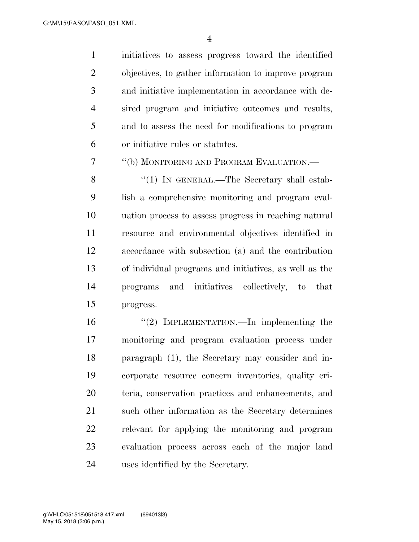initiatives to assess progress toward the identified objectives, to gather information to improve program and initiative implementation in accordance with de- sired program and initiative outcomes and results, and to assess the need for modifications to program or initiative rules or statutes.

''(b) MONITORING AND PROGRAM EVALUATION.—

8 "(1) In GENERAL.—The Secretary shall estab- lish a comprehensive monitoring and program eval- uation process to assess progress in reaching natural resource and environmental objectives identified in accordance with subsection (a) and the contribution of individual programs and initiatives, as well as the programs and initiatives collectively, to that progress.

 ''(2) IMPLEMENTATION.—In implementing the monitoring and program evaluation process under paragraph (1), the Secretary may consider and in- corporate resource concern inventories, quality cri- teria, conservation practices and enhancements, and such other information as the Secretary determines relevant for applying the monitoring and program evaluation process across each of the major land uses identified by the Secretary.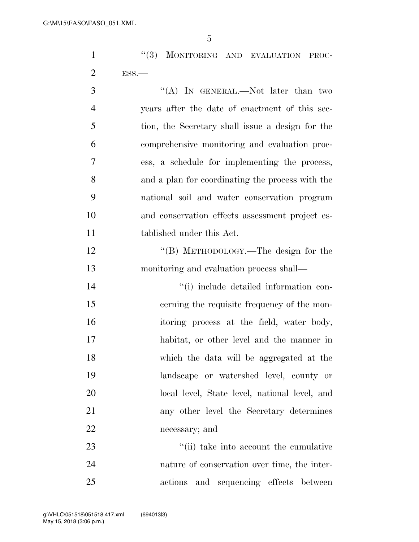1 ''(3) MONITORING AND EVALUATION PROC-ESS.—

3 "(A) IN GENERAL.—Not later than two years after the date of enactment of this sec- tion, the Secretary shall issue a design for the comprehensive monitoring and evaluation proc- ess, a schedule for implementing the process, and a plan for coordinating the process with the national soil and water conservation program and conservation effects assessment project es- tablished under this Act. 12 "(B) METHODOLOGY.—The design for the monitoring and evaluation process shall—  $\lq$  (i) include detailed information con- cerning the requisite frequency of the mon- itoring process at the field, water body, habitat, or other level and the manner in which the data will be aggregated at the landscape or watershed level, county or local level, State level, national level, and any other level the Secretary determines necessary; and  $\frac{1}{2}$   $\frac{1}{2}$   $\frac{1}{2}$  take into account the cumulative nature of conservation over time, the inter-

actions and sequencing effects between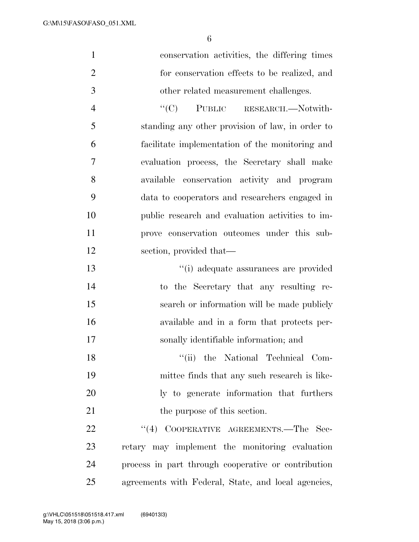| $\mathbf{1}$   | conservation activities, the differing times     |
|----------------|--------------------------------------------------|
| $\overline{2}$ | for conservation effects to be realized, and     |
| 3              | other related measurement challenges.            |
| $\overline{4}$ | "(C) PUBLIC RESEARCH.—Notwith-                   |
| 5              | standing any other provision of law, in order to |
| 6              | facilitate implementation of the monitoring and  |
| 7              | evaluation process, the Secretary shall make     |
| 8              | available conservation activity and program      |
| 9              | data to cooperators and researchers engaged in   |
| 10             | public research and evaluation activities to im- |
| 11             | prove conservation outcomes under this sub-      |
| 12             | section, provided that—                          |
| 13             | "(i) adequate assurances are provided            |
| 14             | to the Secretary that any resulting re-          |
| 15             | search or information will be made publicly      |
| 16             | available and in a form that protects per-       |
| 17             | sonally identifiable information; and            |
| 18             | "(ii) the National Technical Com-                |
| 19             | mittee finds that any such research is like-     |
| 20             | ly to generate information that furthers         |
| 21             | the purpose of this section.                     |

22 ''(4) COOPERATIVE AGREEMENTS.—The Sec- retary may implement the monitoring evaluation process in part through cooperative or contribution agreements with Federal, State, and local agencies,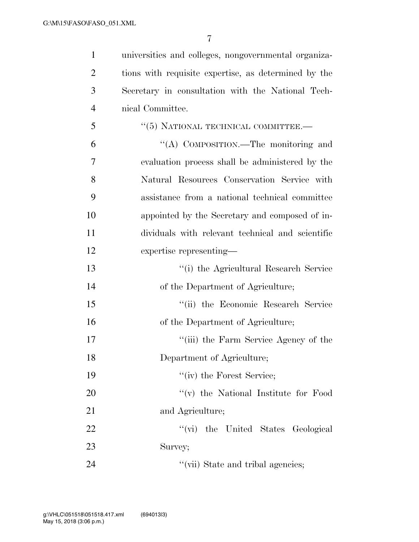universities and colleges, nongovernmental organiza- tions with requisite expertise, as determined by the Secretary in consultation with the National Tech-nical Committee.

- 5 "(5) NATIONAL TECHNICAL COMMITTEE. ''(A) COMPOSITION.—The monitoring and evaluation process shall be administered by the Natural Resources Conservation Service with assistance from a national technical committee appointed by the Secretary and composed of in- dividuals with relevant technical and scientific expertise representing—
- ''(i) the Agricultural Research Service of the Department of Agriculture; ''(ii) the Economic Research Service of the Department of Agriculture; 17 ''(iii) the Farm Service Agency of the Department of Agriculture; 19 ''(iv) the Forest Service; 20  $\gamma$  (v) the National Institute for Food 21 and Agriculture; 22  $\qquad$  ''(vi) the United States Geological Survey; 24  $''(\text{vii})$  State and tribal agencies;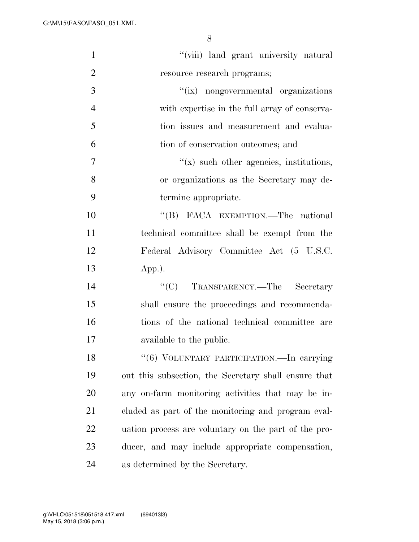| $\mathbf{1}$   | "(viii) land grant university natural                |
|----------------|------------------------------------------------------|
| $\overline{2}$ | resource research programs;                          |
| 3              | "(ix) nongovernmental organizations                  |
| $\overline{4}$ | with expertise in the full array of conserva-        |
| 5              | tion issues and measurement and evalua-              |
| 6              | tion of conservation outcomes; and                   |
| 7              | $f(x)$ such other agencies, institutions,            |
| 8              | or organizations as the Secretary may de-            |
| 9              | termine appropriate.                                 |
| 10             | "(B) FACA EXEMPTION.—The national                    |
| 11             | technical committee shall be exempt from the         |
| 12             | Federal Advisory Committee Act (5 U.S.C.             |
| 13             | $App.)$ .                                            |
| 14             | "(C) TRANSPARENCY.—The Secretary                     |
| 15             | shall ensure the proceedings and recommenda-         |
| 16             | tions of the national technical committee are        |
| 17             | available to the public.                             |
| 18             | "(6) VOLUNTARY PARTICIPATION. - In carrying          |
| 19             | out this subsection, the Secretary shall ensure that |
| 20             | any on-farm monitoring activities that may be in-    |
| 21             | cluded as part of the monitoring and program eval-   |
| 22             | uation process are voluntary on the part of the pro- |
| 23             | ducer, and may include appropriate compensation,     |
| 24             | as determined by the Secretary.                      |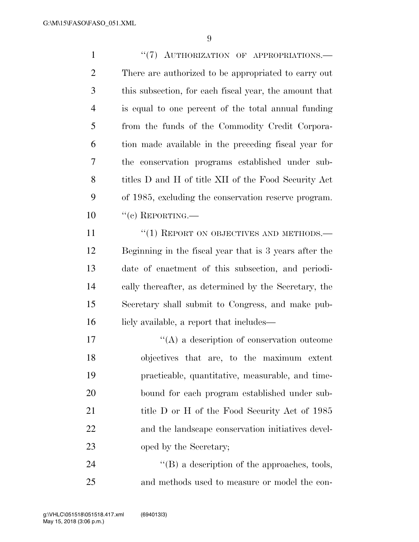1 "(7) AUTHORIZATION OF APPROPRIATIONS.— There are authorized to be appropriated to carry out this subsection, for each fiscal year, the amount that is equal to one percent of the total annual funding from the funds of the Commodity Credit Corpora- tion made available in the preceding fiscal year for the conservation programs established under sub- titles D and H of title XII of the Food Security Act of 1985, excluding the conservation reserve program.  $10 \qquad "(c)$  REPORTING.— 11 "(1) REPORT ON OBJECTIVES AND METHODS.— Beginning in the fiscal year that is 3 years after the date of enactment of this subsection, and periodi- cally thereafter, as determined by the Secretary, the Secretary shall submit to Congress, and make pub-16 licly available, a report that includes—

 $\langle (A)$  a description of conservation outcome objectives that are, to the maximum extent practicable, quantitative, measurable, and time- bound for each program established under sub-21 title D or H of the Food Security Act of 1985 and the landscape conservation initiatives devel-23 oped by the Secretary;

24  $\langle$  (B) a description of the approaches, tools, and methods used to measure or model the con-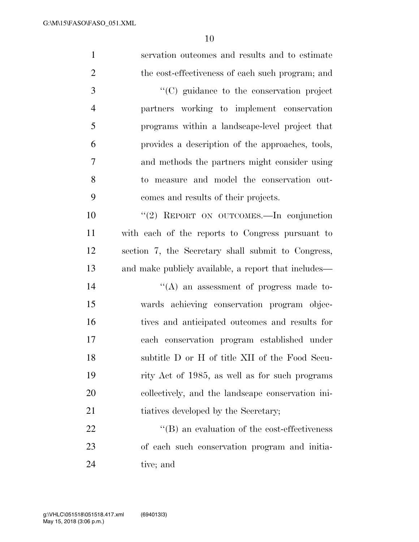servation outcomes and results and to estimate 2 the cost-effectiveness of each such program; and ''(C) guidance to the conservation project partners working to implement conservation programs within a landscape-level project that provides a description of the approaches, tools, and methods the partners might consider using to measure and model the conservation out- comes and results of their projects. ''(2) REPORT ON OUTCOMES.—In conjunction with each of the reports to Congress pursuant to section 7, the Secretary shall submit to Congress, and make publicly available, a report that includes—  $((A)$  an assessment of progress made to- wards achieving conservation program objec- tives and anticipated outcomes and results for each conservation program established under subtitle D or H of title XII of the Food Secu- rity Act of 1985, as well as for such programs collectively, and the landscape conservation ini-21 tiatives developed by the Secretary;  $\langle$  (B) an evaluation of the cost-effectiveness of each such conservation program and initia-tive; and